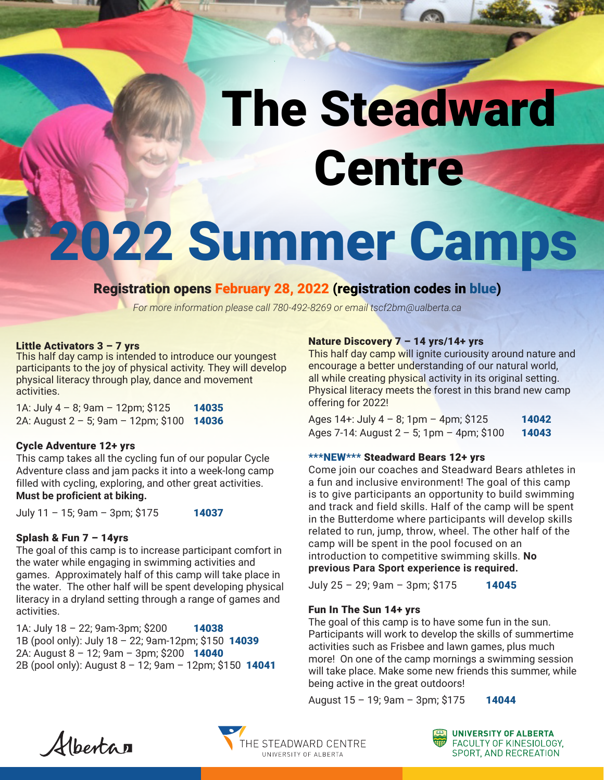# The Steadward **Centre**

# 2022 Summer Camps

# Registration opens February 28, 2022 (registration codes in blue)

*For more information please call 780-492-8269 or email tscf2bm@ualberta.ca*

#### Little Activators 3 – 7 yrs

This half day camp is intended to introduce our youngest participants to the joy of physical activity. They will develop physical literacy through play, dance and movement activities.

1A: July 4 - 8; 9am - 12pm; \$125 14035 2A: August 2 – 5; 9am – 12pm; \$100 14036

#### Cycle Adventure 12+ yrs

This camp takes all the cycling fun of our popular Cycle Adventure class and jam packs it into a week-long camp filled with cycling, exploring, and other great activities. **Must be proficient at biking.**

July 11 - 15; 9am - 3pm; \$175 14037

#### Splash & Fun 7 – 14yrs

The goal of this camp is to increase participant comfort in the water while engaging in swimming activities and games. Approximately half of this camp will take place in the water. The other half will be spent developing physical literacy in a dryland setting through a range of games and activities.

1A: July 18 - 22; 9am-3pm; \$200 14038 1B (pool only): July 18 – 22; 9am-12pm; \$150 14039 2A: August 8 - 12; 9am - 3pm; \$200 14040 2B (pool only): August 8 - 12; 9am - 12pm; \$150 14041

### Nature Discovery 7 – 14 yrs/14+ yrs

This half day camp will ignite curiousity around nature and encourage a better understanding of our natural world, all while creating physical activity in its original setting. Physical literacy meets the forest in this brand new camp offering for 2022!

| Ages 14+: July 4 - 8; 1pm - 4pm; \$125         | 14042 |
|------------------------------------------------|-------|
| Ages 7-14: August $2 - 5$ ; 1pm $-$ 4pm; \$100 | 14043 |

## \*\*\*NEW\*\*\* Steadward Bears 12+ yrs

Come join our coaches and Steadward Bears athletes in a fun and inclusive environment! The goal of this camp is to give participants an opportunity to build swimming and track and field skills. Half of the camp will be spent in the Butterdome where participants will develop skills related to run, jump, throw, wheel. The other half of the camp will be spent in the pool focused on an introduction to competitive swimming skills. **No previous Para Sport experience is required.** 

July 25 - 29; 9am - 3pm; \$175 14045

## Fun In The Sun 14+ yrs

The goal of this camp is to have some fun in the sun. Participants will work to develop the skills of summertime activities such as Frisbee and lawn games, plus much more! On one of the camp mornings a swimming session will take place. Make some new friends this summer, while being active in the great outdoors!

August 15 - 19; 9am - 3pm; \$175 14044